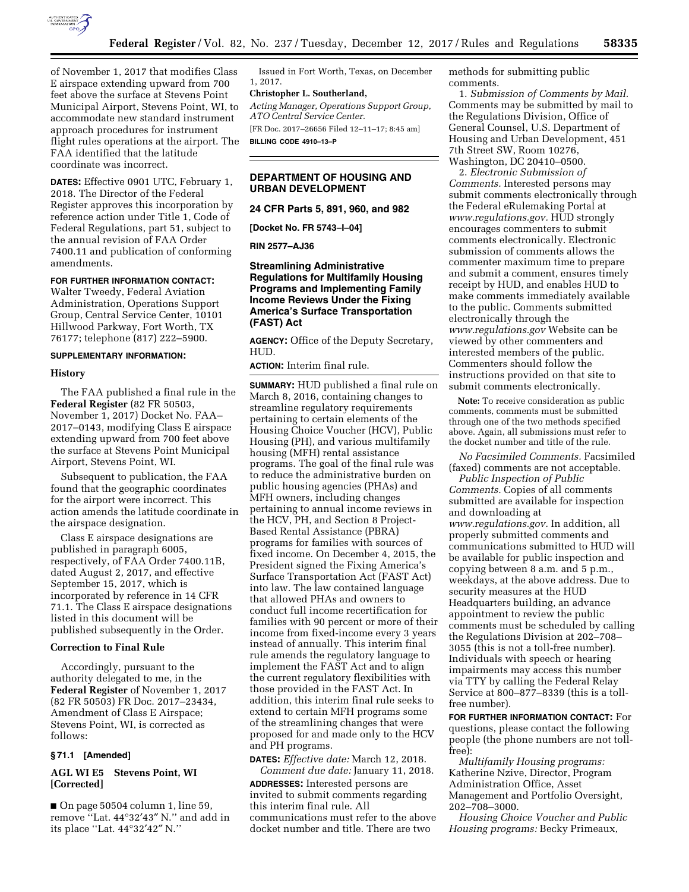

of November 1, 2017 that modifies Class E airspace extending upward from 700 feet above the surface at Stevens Point Municipal Airport, Stevens Point, WI, to accommodate new standard instrument approach procedures for instrument flight rules operations at the airport. The FAA identified that the latitude coordinate was incorrect.

**DATES:** Effective 0901 UTC, February 1, 2018. The Director of the Federal Register approves this incorporation by reference action under Title 1, Code of Federal Regulations, part 51, subject to the annual revision of FAA Order 7400.11 and publication of conforming amendments.

## **FOR FURTHER INFORMATION CONTACT:**

Walter Tweedy, Federal Aviation Administration, Operations Support Group, Central Service Center, 10101 Hillwood Parkway, Fort Worth, TX 76177; telephone (817) 222–5900.

#### **SUPPLEMENTARY INFORMATION:**

#### **History**

The FAA published a final rule in the **Federal Register** (82 FR 50503, November 1, 2017) Docket No. FAA– 2017–0143, modifying Class E airspace extending upward from 700 feet above the surface at Stevens Point Municipal Airport, Stevens Point, WI.

Subsequent to publication, the FAA found that the geographic coordinates for the airport were incorrect. This action amends the latitude coordinate in the airspace designation.

Class E airspace designations are published in paragraph 6005, respectively, of FAA Order 7400.11B, dated August 2, 2017, and effective September 15, 2017, which is incorporated by reference in 14 CFR 71.1. The Class E airspace designations listed in this document will be published subsequently in the Order.

#### **Correction to Final Rule**

Accordingly, pursuant to the authority delegated to me, in the **Federal Register** of November 1, 2017 (82 FR 50503) FR Doc. 2017–23434, Amendment of Class E Airspace; Stevens Point, WI, is corrected as follows:

## **§ 71.1 [Amended]**

# **AGL WI E5 Stevens Point, WI [Corrected]**

■ On page 50504 column 1, line 59, remove ''Lat. 44°32′43″ N.'' and add in its place ''Lat. 44°32′42″ N.''

Issued in Fort Worth, Texas, on December 1, 2017.

### **Christopher L. Southerland,**

*Acting Manager, Operations Support Group, ATO Central Service Center.* 

[FR Doc. 2017–26656 Filed 12–11–17; 8:45 am] **BILLING CODE 4910–13–P** 

# **DEPARTMENT OF HOUSING AND URBAN DEVELOPMENT**

**24 CFR Parts 5, 891, 960, and 982** 

**[Docket No. FR 5743–I–04]** 

**RIN 2577–AJ36** 

## **Streamlining Administrative Regulations for Multifamily Housing Programs and Implementing Family Income Reviews Under the Fixing America's Surface Transportation (FAST) Act**

**AGENCY:** Office of the Deputy Secretary, HUD.

**ACTION:** Interim final rule.

**SUMMARY:** HUD published a final rule on March 8, 2016, containing changes to streamline regulatory requirements pertaining to certain elements of the Housing Choice Voucher (HCV), Public Housing (PH), and various multifamily housing (MFH) rental assistance programs. The goal of the final rule was to reduce the administrative burden on public housing agencies (PHAs) and MFH owners, including changes pertaining to annual income reviews in the HCV, PH, and Section 8 Project-Based Rental Assistance (PBRA) programs for families with sources of fixed income. On December 4, 2015, the President signed the Fixing America's Surface Transportation Act (FAST Act) into law. The law contained language that allowed PHAs and owners to conduct full income recertification for families with 90 percent or more of their income from fixed-income every 3 years instead of annually. This interim final rule amends the regulatory language to implement the FAST Act and to align the current regulatory flexibilities with those provided in the FAST Act. In addition, this interim final rule seeks to extend to certain MFH programs some of the streamlining changes that were proposed for and made only to the HCV and PH programs.

**DATES:** *Effective date:* March 12, 2018. *Comment due date:* January 11, 2018.

**ADDRESSES:** Interested persons are invited to submit comments regarding this interim final rule. All communications must refer to the above docket number and title. There are two

methods for submitting public comments.

1. *Submission of Comments by Mail.*  Comments may be submitted by mail to the Regulations Division, Office of General Counsel, U.S. Department of Housing and Urban Development, 451 7th Street SW, Room 10276, Washington, DC 20410–0500.

2. *Electronic Submission of Comments.* Interested persons may submit comments electronically through the Federal eRulemaking Portal at *[www.regulations.gov.](http://www.regulations.gov)* HUD strongly encourages commenters to submit comments electronically. Electronic submission of comments allows the commenter maximum time to prepare and submit a comment, ensures timely receipt by HUD, and enables HUD to make comments immediately available to the public. Comments submitted electronically through the *[www.regulations.gov](http://www.regulations.gov)* Website can be viewed by other commenters and interested members of the public. Commenters should follow the instructions provided on that site to submit comments electronically.

**Note:** To receive consideration as public comments, comments must be submitted through one of the two methods specified above. Again, all submissions must refer to the docket number and title of the rule.

*No Facsimiled Comments.* Facsimiled (faxed) comments are not acceptable.

*Public Inspection of Public Comments.* Copies of all comments submitted are available for inspection and downloading at *[www.regulations.gov.](http://www.regulations.gov)* In addition, all properly submitted comments and communications submitted to HUD will be available for public inspection and copying between 8 a.m. and 5 p.m., weekdays, at the above address. Due to security measures at the HUD Headquarters building, an advance appointment to review the public comments must be scheduled by calling the Regulations Division at 202–708– 3055 (this is not a toll-free number). Individuals with speech or hearing impairments may access this number via TTY by calling the Federal Relay Service at 800–877–8339 (this is a tollfree number).

**FOR FURTHER INFORMATION CONTACT:** For questions, please contact the following people (the phone numbers are not tollfree):

*Multifamily Housing programs:*  Katherine Nzive, Director, Program Administration Office, Asset Management and Portfolio Oversight, 202–708–3000.

*Housing Choice Voucher and Public Housing programs:* Becky Primeaux,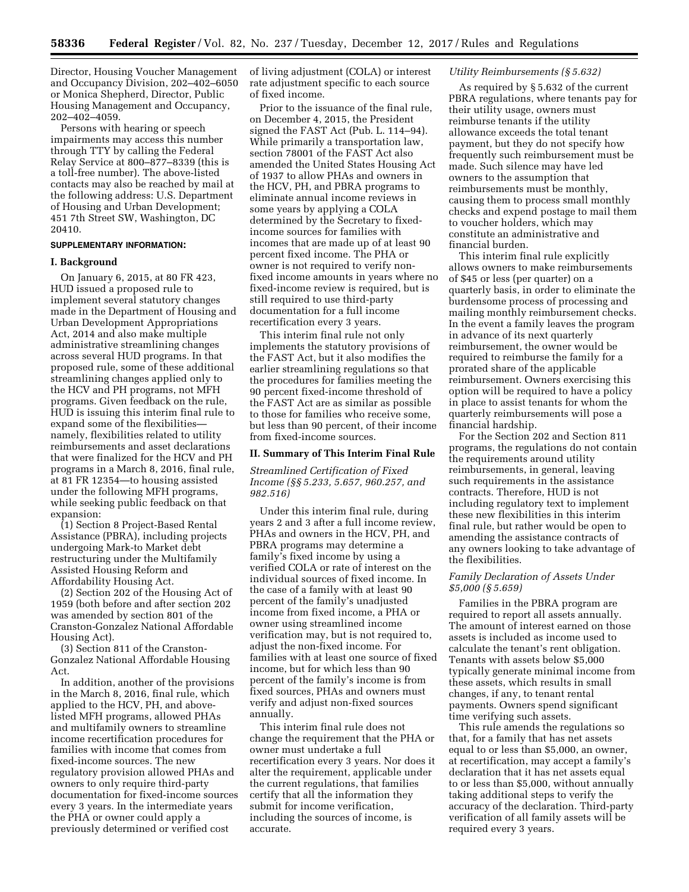Director, Housing Voucher Management and Occupancy Division, 202–402–6050 or Monica Shepherd, Director, Public Housing Management and Occupancy, 202–402–4059.

Persons with hearing or speech impairments may access this number through TTY by calling the Federal Relay Service at 800–877–8339 (this is a toll-free number). The above-listed contacts may also be reached by mail at the following address: U.S. Department of Housing and Urban Development; 451 7th Street SW, Washington, DC 20410.

#### **SUPPLEMENTARY INFORMATION:**

### **I. Background**

On January 6, 2015, at 80 FR 423, HUD issued a proposed rule to implement several statutory changes made in the Department of Housing and Urban Development Appropriations Act, 2014 and also make multiple administrative streamlining changes across several HUD programs. In that proposed rule, some of these additional streamlining changes applied only to the HCV and PH programs, not MFH programs. Given feedback on the rule, HUD is issuing this interim final rule to expand some of the flexibilities namely, flexibilities related to utility reimbursements and asset declarations that were finalized for the HCV and PH programs in a March 8, 2016, final rule, at 81 FR 12354—to housing assisted under the following MFH programs, while seeking public feedback on that expansion:

(1) Section 8 Project-Based Rental Assistance (PBRA), including projects undergoing Mark-to Market debt restructuring under the Multifamily Assisted Housing Reform and Affordability Housing Act.

(2) Section 202 of the Housing Act of 1959 (both before and after section 202 was amended by section 801 of the Cranston-Gonzalez National Affordable Housing Act).

(3) Section 811 of the Cranston-Gonzalez National Affordable Housing Act.

In addition, another of the provisions in the March 8, 2016, final rule, which applied to the HCV, PH, and abovelisted MFH programs, allowed PHAs and multifamily owners to streamline income recertification procedures for families with income that comes from fixed-income sources. The new regulatory provision allowed PHAs and owners to only require third-party documentation for fixed-income sources every 3 years. In the intermediate years the PHA or owner could apply a previously determined or verified cost

of living adjustment (COLA) or interest rate adjustment specific to each source of fixed income.

Prior to the issuance of the final rule, on December 4, 2015, the President signed the FAST Act (Pub. L. 114–94). While primarily a transportation law, section 78001 of the FAST Act also amended the United States Housing Act of 1937 to allow PHAs and owners in the HCV, PH, and PBRA programs to eliminate annual income reviews in some years by applying a COLA determined by the Secretary to fixedincome sources for families with incomes that are made up of at least 90 percent fixed income. The PHA or owner is not required to verify nonfixed income amounts in years where no fixed-income review is required, but is still required to use third-party documentation for a full income recertification every 3 years.

This interim final rule not only implements the statutory provisions of the FAST Act, but it also modifies the earlier streamlining regulations so that the procedures for families meeting the 90 percent fixed-income threshold of the FAST Act are as similar as possible to those for families who receive some, but less than 90 percent, of their income from fixed-income sources.

#### **II. Summary of This Interim Final Rule**

*Streamlined Certification of Fixed Income (§§ 5.233, 5.657, 960.257, and 982.516)* 

Under this interim final rule, during years 2 and 3 after a full income review, PHAs and owners in the HCV, PH, and PBRA programs may determine a family's fixed income by using a verified COLA or rate of interest on the individual sources of fixed income. In the case of a family with at least 90 percent of the family's unadjusted income from fixed income, a PHA or owner using streamlined income verification may, but is not required to, adjust the non-fixed income. For families with at least one source of fixed income, but for which less than 90 percent of the family's income is from fixed sources, PHAs and owners must verify and adjust non-fixed sources annually.

This interim final rule does not change the requirement that the PHA or owner must undertake a full recertification every 3 years. Nor does it alter the requirement, applicable under the current regulations, that families certify that all the information they submit for income verification, including the sources of income, is accurate.

### *Utility Reimbursements (§ 5.632)*

As required by § 5.632 of the current PBRA regulations, where tenants pay for their utility usage, owners must reimburse tenants if the utility allowance exceeds the total tenant payment, but they do not specify how frequently such reimbursement must be made. Such silence may have led owners to the assumption that reimbursements must be monthly, causing them to process small monthly checks and expend postage to mail them to voucher holders, which may constitute an administrative and financial burden.

This interim final rule explicitly allows owners to make reimbursements of \$45 or less (per quarter) on a quarterly basis, in order to eliminate the burdensome process of processing and mailing monthly reimbursement checks. In the event a family leaves the program in advance of its next quarterly reimbursement, the owner would be required to reimburse the family for a prorated share of the applicable reimbursement. Owners exercising this option will be required to have a policy in place to assist tenants for whom the quarterly reimbursements will pose a financial hardship.

For the Section 202 and Section 811 programs, the regulations do not contain the requirements around utility reimbursements, in general, leaving such requirements in the assistance contracts. Therefore, HUD is not including regulatory text to implement these new flexibilities in this interim final rule, but rather would be open to amending the assistance contracts of any owners looking to take advantage of the flexibilities.

## *Family Declaration of Assets Under \$5,000 (§ 5.659)*

Families in the PBRA program are required to report all assets annually. The amount of interest earned on those assets is included as income used to calculate the tenant's rent obligation. Tenants with assets below \$5,000 typically generate minimal income from these assets, which results in small changes, if any, to tenant rental payments. Owners spend significant time verifying such assets.

This rule amends the regulations so that, for a family that has net assets equal to or less than \$5,000, an owner, at recertification, may accept a family's declaration that it has net assets equal to or less than \$5,000, without annually taking additional steps to verify the accuracy of the declaration. Third-party verification of all family assets will be required every 3 years.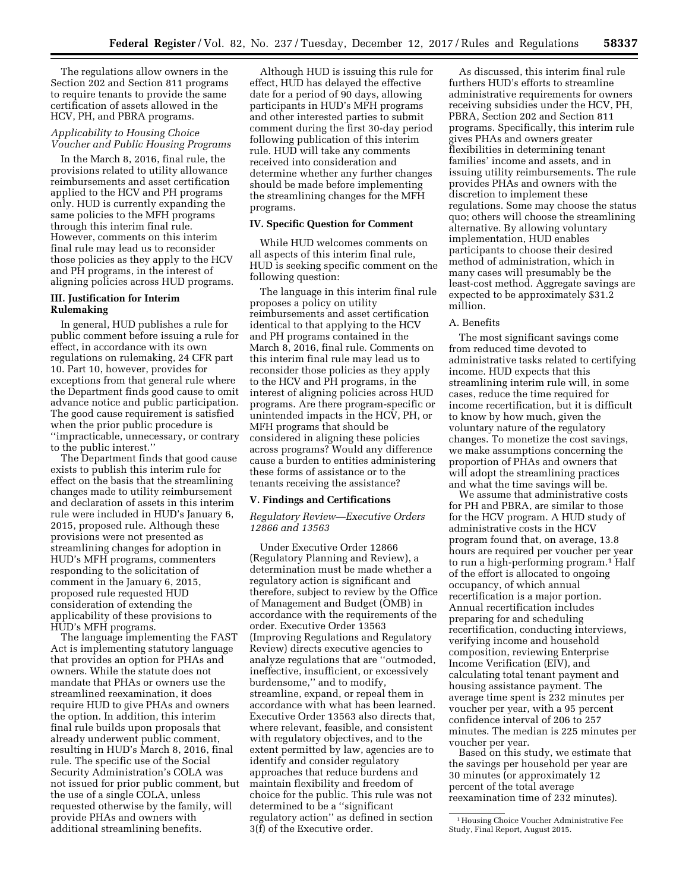The regulations allow owners in the Section 202 and Section 811 programs to require tenants to provide the same certification of assets allowed in the HCV, PH, and PBRA programs.

## *Applicability to Housing Choice Voucher and Public Housing Programs*

In the March 8, 2016, final rule, the provisions related to utility allowance reimbursements and asset certification applied to the HCV and PH programs only. HUD is currently expanding the same policies to the MFH programs through this interim final rule. However, comments on this interim final rule may lead us to reconsider those policies as they apply to the HCV and PH programs, in the interest of aligning policies across HUD programs.

## **III. Justification for Interim Rulemaking**

In general, HUD publishes a rule for public comment before issuing a rule for effect, in accordance with its own regulations on rulemaking, 24 CFR part 10. Part 10, however, provides for exceptions from that general rule where the Department finds good cause to omit advance notice and public participation. The good cause requirement is satisfied when the prior public procedure is ''impracticable, unnecessary, or contrary to the public interest.''

The Department finds that good cause exists to publish this interim rule for effect on the basis that the streamlining changes made to utility reimbursement and declaration of assets in this interim rule were included in HUD's January 6, 2015, proposed rule. Although these provisions were not presented as streamlining changes for adoption in HUD's MFH programs, commenters responding to the solicitation of comment in the January 6, 2015, proposed rule requested HUD consideration of extending the applicability of these provisions to HUD's MFH programs.

The language implementing the FAST Act is implementing statutory language that provides an option for PHAs and owners. While the statute does not mandate that PHAs or owners use the streamlined reexamination, it does require HUD to give PHAs and owners the option. In addition, this interim final rule builds upon proposals that already underwent public comment, resulting in HUD's March 8, 2016, final rule. The specific use of the Social Security Administration's COLA was not issued for prior public comment, but the use of a single COLA, unless requested otherwise by the family, will provide PHAs and owners with additional streamlining benefits.

Although HUD is issuing this rule for effect, HUD has delayed the effective date for a period of 90 days, allowing participants in HUD's MFH programs and other interested parties to submit comment during the first 30-day period following publication of this interim rule. HUD will take any comments received into consideration and determine whether any further changes should be made before implementing the streamlining changes for the MFH programs.

## **IV. Specific Question for Comment**

While HUD welcomes comments on all aspects of this interim final rule, HUD is seeking specific comment on the following question:

The language in this interim final rule proposes a policy on utility reimbursements and asset certification identical to that applying to the HCV and PH programs contained in the March 8, 2016, final rule. Comments on this interim final rule may lead us to reconsider those policies as they apply to the HCV and PH programs, in the interest of aligning policies across HUD programs. Are there program-specific or unintended impacts in the HCV, PH, or MFH programs that should be considered in aligning these policies across programs? Would any difference cause a burden to entities administering these forms of assistance or to the tenants receiving the assistance?

#### **V. Findings and Certifications**

## *Regulatory Review—Executive Orders 12866 and 13563*

Under Executive Order 12866 (Regulatory Planning and Review), a determination must be made whether a regulatory action is significant and therefore, subject to review by the Office of Management and Budget (OMB) in accordance with the requirements of the order. Executive Order 13563 (Improving Regulations and Regulatory Review) directs executive agencies to analyze regulations that are ''outmoded, ineffective, insufficient, or excessively burdensome,'' and to modify, streamline, expand, or repeal them in accordance with what has been learned. Executive Order 13563 also directs that, where relevant, feasible, and consistent with regulatory objectives, and to the extent permitted by law, agencies are to identify and consider regulatory approaches that reduce burdens and maintain flexibility and freedom of choice for the public. This rule was not determined to be a ''significant regulatory action'' as defined in section 3(f) of the Executive order.

As discussed, this interim final rule furthers HUD's efforts to streamline administrative requirements for owners receiving subsidies under the HCV, PH, PBRA, Section 202 and Section 811 programs. Specifically, this interim rule gives PHAs and owners greater flexibilities in determining tenant families' income and assets, and in issuing utility reimbursements. The rule provides PHAs and owners with the discretion to implement these regulations. Some may choose the status quo; others will choose the streamlining alternative. By allowing voluntary implementation, HUD enables participants to choose their desired method of administration, which in many cases will presumably be the least-cost method. Aggregate savings are expected to be approximately \$31.2 million.

#### A. Benefits

The most significant savings come from reduced time devoted to administrative tasks related to certifying income. HUD expects that this streamlining interim rule will, in some cases, reduce the time required for income recertification, but it is difficult to know by how much, given the voluntary nature of the regulatory changes. To monetize the cost savings, we make assumptions concerning the proportion of PHAs and owners that will adopt the streamlining practices and what the time savings will be.

We assume that administrative costs for PH and PBRA, are similar to those for the HCV program. A HUD study of administrative costs in the HCV program found that, on average, 13.8 hours are required per voucher per year to run a high-performing program.<sup>1</sup> Half of the effort is allocated to ongoing occupancy, of which annual recertification is a major portion. Annual recertification includes preparing for and scheduling recertification, conducting interviews, verifying income and household composition, reviewing Enterprise Income Verification (EIV), and calculating total tenant payment and housing assistance payment. The average time spent is 232 minutes per voucher per year, with a 95 percent confidence interval of 206 to 257 minutes. The median is 225 minutes per voucher per year.

Based on this study, we estimate that the savings per household per year are 30 minutes (or approximately 12 percent of the total average reexamination time of 232 minutes).

<sup>1</sup>Housing Choice Voucher Administrative Fee Study, Final Report, August 2015.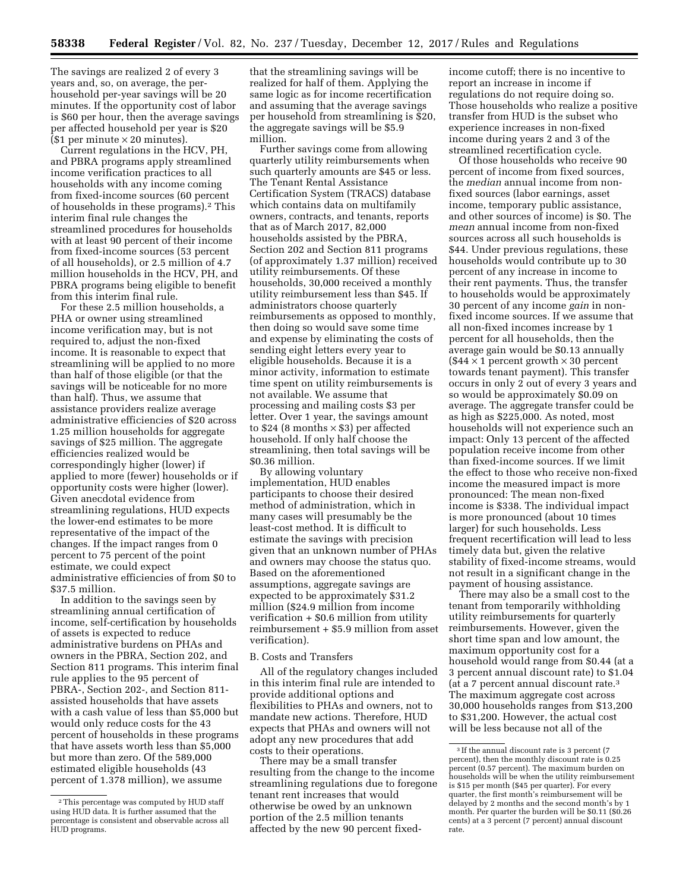The savings are realized 2 of every 3 years and, so, on average, the perhousehold per-year savings will be 20 minutes. If the opportunity cost of labor is \$60 per hour, then the average savings per affected household per year is \$20  $(S1 per minute × 20 minutes).$ 

Current regulations in the HCV, PH, and PBRA programs apply streamlined income verification practices to all households with any income coming from fixed-income sources (60 percent of households in these programs).2 This interim final rule changes the streamlined procedures for households with at least 90 percent of their income from fixed-income sources (53 percent of all households), or 2.5 million of 4.7 million households in the HCV, PH, and PBRA programs being eligible to benefit from this interim final rule.

For these 2.5 million households, a PHA or owner using streamlined income verification may, but is not required to, adjust the non-fixed income. It is reasonable to expect that streamlining will be applied to no more than half of those eligible (or that the savings will be noticeable for no more than half). Thus, we assume that assistance providers realize average administrative efficiencies of \$20 across 1.25 million households for aggregate savings of \$25 million. The aggregate efficiencies realized would be correspondingly higher (lower) if applied to more (fewer) households or if opportunity costs were higher (lower). Given anecdotal evidence from streamlining regulations, HUD expects the lower-end estimates to be more representative of the impact of the changes. If the impact ranges from 0 percent to 75 percent of the point estimate, we could expect administrative efficiencies of from \$0 to \$37.5 million.

In addition to the savings seen by streamlining annual certification of income, self-certification by households of assets is expected to reduce administrative burdens on PHAs and owners in the PBRA, Section 202, and Section 811 programs. This interim final rule applies to the 95 percent of PBRA-, Section 202-, and Section 811 assisted households that have assets with a cash value of less than \$5,000 but would only reduce costs for the 43 percent of households in these programs that have assets worth less than \$5,000 but more than zero. Of the 589,000 estimated eligible households (43 percent of 1.378 million), we assume

that the streamlining savings will be realized for half of them. Applying the same logic as for income recertification and assuming that the average savings per household from streamlining is \$20, the aggregate savings will be \$5.9 million.

Further savings come from allowing quarterly utility reimbursements when such quarterly amounts are \$45 or less. The Tenant Rental Assistance Certification System (TRACS) database which contains data on multifamily owners, contracts, and tenants, reports that as of March 2017, 82,000 households assisted by the PBRA, Section 202 and Section 811 programs (of approximately 1.37 million) received utility reimbursements. Of these households, 30,000 received a monthly utility reimbursement less than \$45. If administrators choose quarterly reimbursements as opposed to monthly, then doing so would save some time and expense by eliminating the costs of sending eight letters every year to eligible households. Because it is a minor activity, information to estimate time spent on utility reimbursements is not available. We assume that processing and mailing costs \$3 per letter. Over 1 year, the savings amount to \$24 (8 months  $\times$  \$3) per affected household. If only half choose the streamlining, then total savings will be \$0.36 million.

By allowing voluntary implementation, HUD enables participants to choose their desired method of administration, which in many cases will presumably be the least-cost method. It is difficult to estimate the savings with precision given that an unknown number of PHAs and owners may choose the status quo. Based on the aforementioned assumptions, aggregate savings are expected to be approximately \$31.2 million (\$24.9 million from income verification + \$0.6 million from utility reimbursement + \$5.9 million from asset verification).

### B. Costs and Transfers

All of the regulatory changes included in this interim final rule are intended to provide additional options and flexibilities to PHAs and owners, not to mandate new actions. Therefore, HUD expects that PHAs and owners will not adopt any new procedures that add costs to their operations.

There may be a small transfer resulting from the change to the income streamlining regulations due to foregone tenant rent increases that would otherwise be owed by an unknown portion of the 2.5 million tenants affected by the new 90 percent fixedincome cutoff; there is no incentive to report an increase in income if regulations do not require doing so. Those households who realize a positive transfer from HUD is the subset who experience increases in non-fixed income during years 2 and 3 of the streamlined recertification cycle.

Of those households who receive 90 percent of income from fixed sources, the *median* annual income from nonfixed sources (labor earnings, asset income, temporary public assistance, and other sources of income) is \$0. The *mean* annual income from non-fixed sources across all such households is \$44. Under previous regulations, these households would contribute up to 30 percent of any increase in income to their rent payments. Thus, the transfer to households would be approximately 30 percent of any income *gain* in nonfixed income sources. If we assume that all non-fixed incomes increase by 1 percent for all households, then the average gain would be \$0.13 annually  $($44 \times 1$ percent growth \times 30 percent$ towards tenant payment). This transfer occurs in only 2 out of every 3 years and so would be approximately \$0.09 on average. The aggregate transfer could be as high as \$225,000. As noted, most households will not experience such an impact: Only 13 percent of the affected population receive income from other than fixed-income sources. If we limit the effect to those who receive non-fixed income the measured impact is more pronounced: The mean non-fixed income is \$338. The individual impact is more pronounced (about 10 times larger) for such households. Less frequent recertification will lead to less timely data but, given the relative stability of fixed-income streams, would not result in a significant change in the payment of housing assistance.

There may also be a small cost to the tenant from temporarily withholding utility reimbursements for quarterly reimbursements. However, given the short time span and low amount, the maximum opportunity cost for a household would range from \$0.44 (at a 3 percent annual discount rate) to \$1.04 (at a 7 percent annual discount rate.3 The maximum aggregate cost across 30,000 households ranges from \$13,200 to \$31,200. However, the actual cost will be less because not all of the

<sup>2</sup>This percentage was computed by HUD staff using HUD data. It is further assumed that the percentage is consistent and observable across all HUD programs.

<sup>&</sup>lt;sup>3</sup> If the annual discount rate is 3 percent (7 percent), then the monthly discount rate is 0.25 percent (0.57 percent). The maximum burden on households will be when the utility reimbursement is \$15 per month (\$45 per quarter). For every quarter, the first month's reimbursement will be delayed by 2 months and the second month's by 1 month. Per quarter the burden will be \$0.11 (\$0.26 cents) at a 3 percent (7 percent) annual discount rate.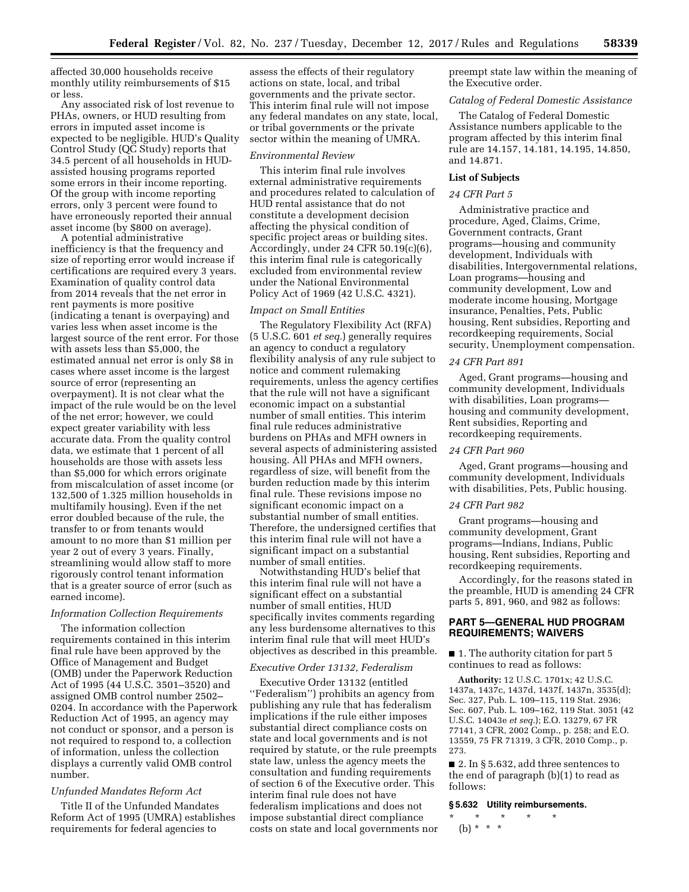affected 30,000 households receive monthly utility reimbursements of \$15 or less.

Any associated risk of lost revenue to PHAs, owners, or HUD resulting from errors in imputed asset income is expected to be negligible. HUD's Quality Control Study (QC Study) reports that 34.5 percent of all households in HUDassisted housing programs reported some errors in their income reporting. Of the group with income reporting errors, only 3 percent were found to have erroneously reported their annual asset income (by \$800 on average).

A potential administrative inefficiency is that the frequency and size of reporting error would increase if certifications are required every 3 years. Examination of quality control data from 2014 reveals that the net error in rent payments is more positive (indicating a tenant is overpaying) and varies less when asset income is the largest source of the rent error. For those with assets less than \$5,000, the estimated annual net error is only \$8 in cases where asset income is the largest source of error (representing an overpayment). It is not clear what the impact of the rule would be on the level of the net error; however, we could expect greater variability with less accurate data. From the quality control data, we estimate that 1 percent of all households are those with assets less than \$5,000 for which errors originate from miscalculation of asset income (or 132,500 of 1.325 million households in multifamily housing). Even if the net error doubled because of the rule, the transfer to or from tenants would amount to no more than \$1 million per year 2 out of every 3 years. Finally, streamlining would allow staff to more rigorously control tenant information that is a greater source of error (such as earned income).

# *Information Collection Requirements*

The information collection requirements contained in this interim final rule have been approved by the Office of Management and Budget (OMB) under the Paperwork Reduction Act of 1995 (44 U.S.C. 3501–3520) and assigned OMB control number 2502– 0204. In accordance with the Paperwork Reduction Act of 1995, an agency may not conduct or sponsor, and a person is not required to respond to, a collection of information, unless the collection displays a currently valid OMB control number.

## *Unfunded Mandates Reform Act*

Title II of the Unfunded Mandates Reform Act of 1995 (UMRA) establishes requirements for federal agencies to

assess the effects of their regulatory actions on state, local, and tribal governments and the private sector. This interim final rule will not impose any federal mandates on any state, local, or tribal governments or the private sector within the meaning of UMRA.

# *Environmental Review*

This interim final rule involves external administrative requirements and procedures related to calculation of HUD rental assistance that do not constitute a development decision affecting the physical condition of specific project areas or building sites. Accordingly, under 24 CFR 50.19(c)(6), this interim final rule is categorically excluded from environmental review under the National Environmental Policy Act of 1969 (42 U.S.C. 4321).

## *Impact on Small Entities*

The Regulatory Flexibility Act (RFA) (5 U.S.C. 601 *et seq.*) generally requires an agency to conduct a regulatory flexibility analysis of any rule subject to notice and comment rulemaking requirements, unless the agency certifies that the rule will not have a significant economic impact on a substantial number of small entities. This interim final rule reduces administrative burdens on PHAs and MFH owners in several aspects of administering assisted housing. All PHAs and MFH owners, regardless of size, will benefit from the burden reduction made by this interim final rule. These revisions impose no significant economic impact on a substantial number of small entities. Therefore, the undersigned certifies that this interim final rule will not have a significant impact on a substantial number of small entities.

Notwithstanding HUD's belief that this interim final rule will not have a significant effect on a substantial number of small entities, HUD specifically invites comments regarding any less burdensome alternatives to this interim final rule that will meet HUD's objectives as described in this preamble.

#### *Executive Order 13132, Federalism*

Executive Order 13132 (entitled ''Federalism'') prohibits an agency from publishing any rule that has federalism implications if the rule either imposes substantial direct compliance costs on state and local governments and is not required by statute, or the rule preempts state law, unless the agency meets the consultation and funding requirements of section 6 of the Executive order. This interim final rule does not have federalism implications and does not impose substantial direct compliance costs on state and local governments nor preempt state law within the meaning of the Executive order.

### *Catalog of Federal Domestic Assistance*

The Catalog of Federal Domestic Assistance numbers applicable to the program affected by this interim final rule are 14.157, 14.181, 14.195, 14.850, and 14.871.

### **List of Subjects**

## *24 CFR Part 5*

Administrative practice and procedure, Aged, Claims, Crime, Government contracts, Grant programs—housing and community development, Individuals with disabilities, Intergovernmental relations, Loan programs—housing and community development, Low and moderate income housing, Mortgage insurance, Penalties, Pets, Public housing, Rent subsidies, Reporting and recordkeeping requirements, Social security, Unemployment compensation.

#### *24 CFR Part 891*

Aged, Grant programs—housing and community development, Individuals with disabilities, Loan programs housing and community development, Rent subsidies, Reporting and recordkeeping requirements.

### *24 CFR Part 960*

Aged, Grant programs—housing and community development, Individuals with disabilities, Pets, Public housing.

#### *24 CFR Part 982*

Grant programs—housing and community development, Grant programs—Indians, Indians, Public housing, Rent subsidies, Reporting and recordkeeping requirements.

Accordingly, for the reasons stated in the preamble, HUD is amending 24 CFR parts 5, 891, 960, and 982 as follows:

# **PART 5—GENERAL HUD PROGRAM REQUIREMENTS; WAIVERS**

■ 1. The authority citation for part 5 continues to read as follows:

**Authority:** 12 U.S.C. 1701x; 42 U.S.C. 1437a, 1437c, 1437d, 1437f, 1437n, 3535(d); Sec. 327, Pub. L. 109–115, 119 Stat. 2936; Sec. 607, Pub. L. 109–162, 119 Stat. 3051 (42 U.S.C. 14043e *et seq.*); E.O. 13279, 67 FR 77141, 3 CFR, 2002 Comp., p. 258; and E.O. 13559, 75 FR 71319, 3 CFR, 2010 Comp., p. 273.

■ 2. In § 5.632, add three sentences to the end of paragraph (b)(1) to read as follows:

## **§ 5.632 Utility reimbursements.**

\* \* \* \* \* (b) \* \* \*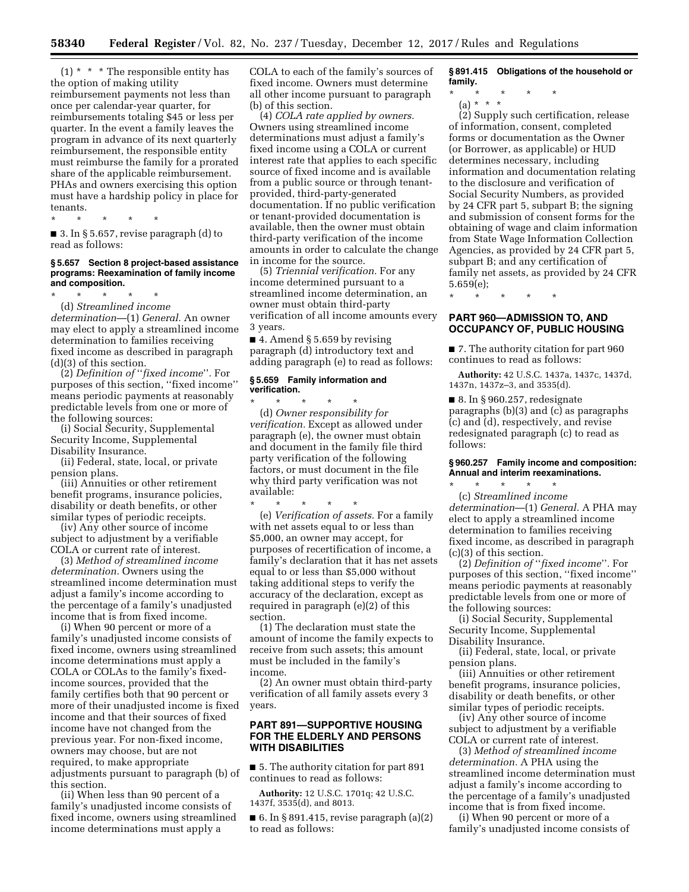$(1)$  \* \* \* The responsible entity has the option of making utility reimbursement payments not less than once per calendar-year quarter, for reimbursements totaling \$45 or less per quarter. In the event a family leaves the program in advance of its next quarterly reimbursement, the responsible entity must reimburse the family for a prorated share of the applicable reimbursement. PHAs and owners exercising this option must have a hardship policy in place for tenants.

\* \* \* \* \* ■ 3. In § 5.657, revise paragraph (d) to read as follows:

#### **§ 5.657 Section 8 project-based assistance programs: Reexamination of family income and composition.**

\* \* \* \* \* (d) *Streamlined income determination*—(1) *General.* An owner may elect to apply a streamlined income determination to families receiving fixed income as described in paragraph (d)(3) of this section.

(2) *Definition of* ''*fixed income*''*.* For purposes of this section, ''fixed income'' means periodic payments at reasonably predictable levels from one or more of the following sources:

(i) Social Security, Supplemental Security Income, Supplemental Disability Insurance.

(ii) Federal, state, local, or private pension plans.

(iii) Annuities or other retirement benefit programs, insurance policies, disability or death benefits, or other similar types of periodic receipts.

(iv) Any other source of income subject to adjustment by a verifiable COLA or current rate of interest.

(3) *Method of streamlined income determination.* Owners using the streamlined income determination must adjust a family's income according to the percentage of a family's unadjusted income that is from fixed income.

(i) When 90 percent or more of a family's unadjusted income consists of fixed income, owners using streamlined income determinations must apply a COLA or COLAs to the family's fixedincome sources, provided that the family certifies both that 90 percent or more of their unadjusted income is fixed income and that their sources of fixed income have not changed from the previous year. For non-fixed income, owners may choose, but are not required, to make appropriate adjustments pursuant to paragraph (b) of this section.

(ii) When less than 90 percent of a family's unadjusted income consists of fixed income, owners using streamlined income determinations must apply a

COLA to each of the family's sources of fixed income. Owners must determine all other income pursuant to paragraph (b) of this section.

(4) *COLA rate applied by owners.*  Owners using streamlined income determinations must adjust a family's fixed income using a COLA or current interest rate that applies to each specific source of fixed income and is available from a public source or through tenantprovided, third-party-generated documentation. If no public verification or tenant-provided documentation is available, then the owner must obtain third-party verification of the income amounts in order to calculate the change in income for the source.

(5) *Triennial verification.* For any income determined pursuant to a streamlined income determination, an owner must obtain third-party verification of all income amounts every 3 years.

 $\blacksquare$  4. Amend § 5.659 by revising paragraph (d) introductory text and adding paragraph (e) to read as follows:

#### **§ 5.659 Family information and verification.**

available:

\* \* \* \* \* (d) *Owner responsibility for verification.* Except as allowed under paragraph (e), the owner must obtain and document in the family file third party verification of the following factors, or must document in the file why third party verification was not

\* \* \* \* \* (e) *Verification of assets.* For a family with net assets equal to or less than \$5,000, an owner may accept, for purposes of recertification of income, a family's declaration that it has net assets equal to or less than \$5,000 without taking additional steps to verify the accuracy of the declaration, except as required in paragraph (e)(2) of this section.

(1) The declaration must state the amount of income the family expects to receive from such assets; this amount must be included in the family's income.

(2) An owner must obtain third-party verification of all family assets every 3 years.

## **PART 891—SUPPORTIVE HOUSING FOR THE ELDERLY AND PERSONS WITH DISABILITIES**

■ 5. The authority citation for part 891 continues to read as follows:

**Authority:** 12 U.S.C. 1701q; 42 U.S.C. 1437f, 3535(d), and 8013.

 $\blacksquare$  6. In § 891.415, revise paragraph (a)(2) to read as follows:

**§ 891.415 Obligations of the household or family.** 

\* \* \* \* \*

(a) \* \* \* (2) Supply such certification, release of information, consent, completed forms or documentation as the Owner (or Borrower, as applicable) or HUD determines necessary, including information and documentation relating to the disclosure and verification of Social Security Numbers, as provided by 24 CFR part 5, subpart B; the signing and submission of consent forms for the obtaining of wage and claim information from State Wage Information Collection Agencies, as provided by 24 CFR part 5, subpart B; and any certification of family net assets, as provided by 24 CFR 5.659(e);

\* \* \* \* \*

# **PART 960—ADMISSION TO, AND OCCUPANCY OF, PUBLIC HOUSING**

■ 7. The authority citation for part 960 continues to read as follows:

**Authority:** 42 U.S.C. 1437a, 1437c, 1437d, 1437n, 1437z–3, and 3535(d).

■ 8. In § 960.257, redesignate paragraphs (b)(3) and (c) as paragraphs (c) and (d), respectively, and revise redesignated paragraph (c) to read as follows:

# **§ 960.257 Family income and composition: Annual and interim reexaminations.**

\* \* \* \* \* (c) *Streamlined income determination*—(1) *General.* A PHA may elect to apply a streamlined income determination to families receiving fixed income, as described in paragraph (c)(3) of this section.

(2) *Definition of* ''*fixed income*''*.* For purposes of this section, ''fixed income'' means periodic payments at reasonably predictable levels from one or more of the following sources:

(i) Social Security, Supplemental Security Income, Supplemental Disability Insurance.

(ii) Federal, state, local, or private pension plans.

(iii) Annuities or other retirement benefit programs, insurance policies, disability or death benefits, or other similar types of periodic receipts.

(iv) Any other source of income subject to adjustment by a verifiable COLA or current rate of interest.

(3) *Method of streamlined income determination.* A PHA using the streamlined income determination must adjust a family's income according to the percentage of a family's unadjusted income that is from fixed income.

(i) When 90 percent or more of a family's unadjusted income consists of